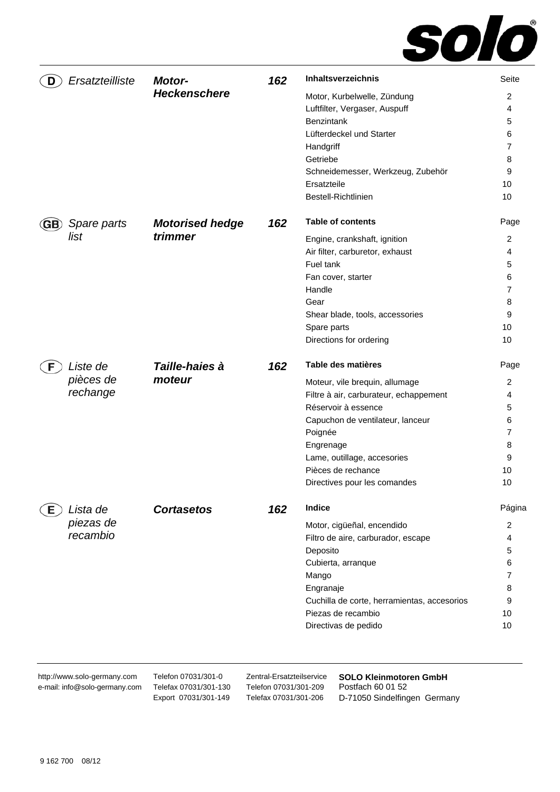

| D  | Ersatzteilliste | <b>Motor-</b>          | 162 | Inhaltsverzeichnis                          | Seite          |
|----|-----------------|------------------------|-----|---------------------------------------------|----------------|
|    |                 | <b>Heckenschere</b>    |     | Motor, Kurbelwelle, Zündung                 | 2              |
|    |                 |                        |     | Luftfilter, Vergaser, Auspuff               | 4              |
|    |                 |                        |     | <b>Benzintank</b>                           | 5              |
|    |                 |                        |     | Lüfterdeckel und Starter                    | 6              |
|    |                 |                        |     | Handgriff                                   | 7              |
|    |                 |                        |     | Getriebe                                    | 8              |
|    |                 |                        |     | Schneidemesser, Werkzeug, Zubehör           | 9              |
|    |                 |                        |     | Ersatzteile                                 | 10             |
|    |                 |                        |     | Bestell-Richtlinien                         | 10             |
|    | Spare parts     | <b>Motorised hedge</b> | 162 | <b>Table of contents</b>                    | Page           |
|    | list            | trimmer                |     | Engine, crankshaft, ignition                | 2              |
|    |                 |                        |     | Air filter, carburetor, exhaust             | 4              |
|    |                 |                        |     | Fuel tank                                   | 5              |
|    |                 |                        |     | Fan cover, starter                          | 6              |
|    |                 |                        |     | Handle                                      | 7              |
|    |                 |                        |     | Gear                                        | 8              |
|    |                 |                        |     | Shear blade, tools, accessories             | 9              |
|    |                 |                        |     | Spare parts                                 | 10             |
|    |                 |                        |     | Directions for ordering                     | 10             |
| F. | Liste de        | Taille-haies à         | 162 | Table des matières                          | Page           |
|    | pièces de       | moteur                 |     | Moteur, vile brequin, allumage              | 2              |
|    | rechange        |                        |     | Filtre à air, carburateur, echappement      | 4              |
|    |                 |                        |     | Réservoir à essence                         | 5              |
|    |                 |                        |     | Capuchon de ventilateur, lanceur            | 6              |
|    |                 |                        |     | Poignée                                     | 7              |
|    |                 |                        |     | Engrenage                                   | 8              |
|    |                 |                        |     | Lame, outillage, accesories                 | 9              |
|    |                 |                        |     | Pièces de rechance                          | 10             |
|    |                 |                        |     | Directives pour les comandes                | 10             |
| E. | Lista de        | <b>Cortasetos</b>      | 162 | <b>Indice</b>                               | Página         |
|    | piezas de       |                        |     | Motor, cigüeñal, encendido                  | $\overline{2}$ |
|    | recambio        |                        |     | Filtro de aire, carburador, escape          | 4              |
|    |                 |                        |     | Deposito                                    | 5              |
|    |                 |                        |     | Cubierta, arranque                          | 6              |
|    |                 |                        |     | Mango                                       | 7              |
|    |                 |                        |     | Engranaje                                   | 8              |
|    |                 |                        |     | Cuchilla de corte, herramientas, accesorios | 9              |
|    |                 |                        |     | Piezas de recambio                          | 10             |
|    |                 |                        |     | Directivas de pedido                        | 10             |

http://www.solo-germany.com e-mail: info@solo-germany.com Telefon 07031/301-0 Telefax 07031/301-130 Export 07031/301-149

Zentral-Ersatzteilservice Telefon 07031/301-209 Telefax 07031/301-206

**SOLO Kleinmotoren GmbH**  Postfach 60 01 52 D-71050 Sindelfingen Germany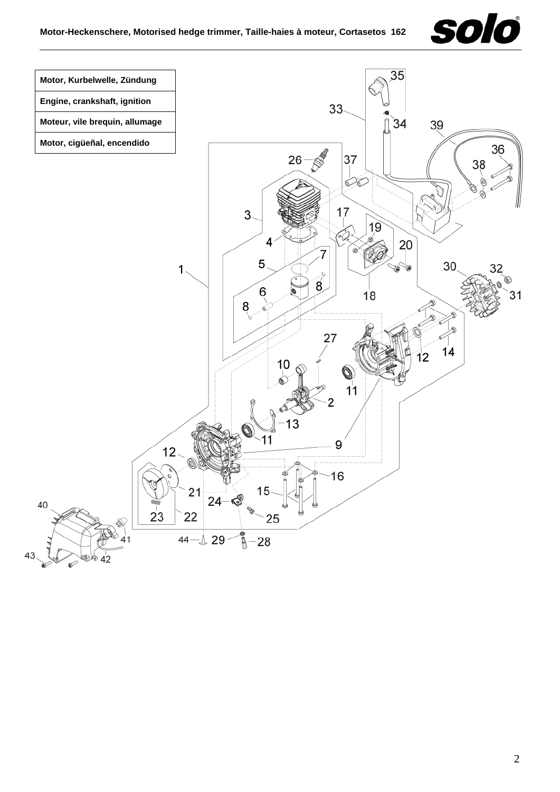

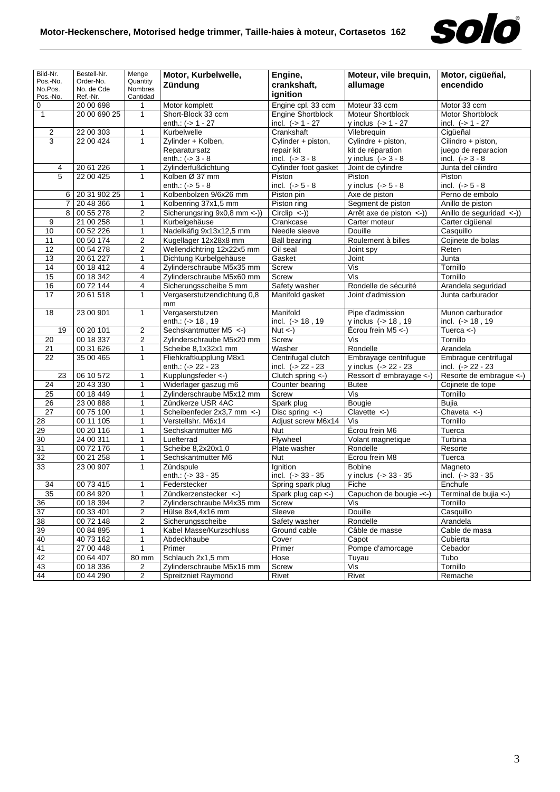

| Bild-Nr.                | Bestell-Nr.            | Menge                        | Motor, Kurbelwelle,                                | Engine,                         | Moteur, vile brequin,                   | Motor, cigüeñal,                     |  |
|-------------------------|------------------------|------------------------------|----------------------------------------------------|---------------------------------|-----------------------------------------|--------------------------------------|--|
| Pos.-No.                | Order-No.              | Quantity<br>Nombres          | Zündung                                            | crankshaft,                     | allumage                                | encendido                            |  |
| No.Pos.<br>Pos.-No.     | No. de Cde<br>Ref.-Nr. | Cantidad                     |                                                    | ignition                        |                                         |                                      |  |
| 0                       | 20 00 698              | 1                            | Motor komplett                                     | Engine cpl. 33 ccm              | Moteur 33 ccm                           | Motor 33 ccm                         |  |
| $\mathbf{1}$            | 20 00 690 25           | $\mathbf{1}$                 | Short-Block 33 ccm                                 | <b>Engine Shortblock</b>        | Moteur Shortblock                       | Motor Shortblock                     |  |
|                         |                        |                              | enth.: $(-51 - 27)$                                | incl. $(-> 1 - 27)$             | y inclus $(-51 - 27)$                   | incl. $(-51 - 27)$                   |  |
| $\overline{\mathbf{c}}$ | 22 00 303              | $\mathbf{1}$                 | Kurbelwelle                                        | Crankshaft                      | Vilebrequin                             | Cigüeñal                             |  |
| 3                       | 22 00 424              | $\mathbf{1}$                 | Zylinder + Kolben,                                 | Cylinder + piston,              | Cylindre + piston,                      | Cilindro + piston,                   |  |
|                         |                        |                              | Reparatursatz                                      | repair kit                      | kit de réparation                       | juego de reparacion                  |  |
|                         |                        |                              | enth.: $(-) 3 - 8$                                 | incl. $(-53 - 8)$               | y inclus $(-53 - 8)$                    | incl. $(-53 - 8)$                    |  |
| 4                       | 20 61 226              | $\mathbf{1}$                 | Zylinderfußdichtung                                | Cylinder foot gasket            | Joint de cylindre                       | Junta del cilindro                   |  |
| 5                       | 22 00 425              | $\mathbf{1}$                 | Kolben Ø 37 mm                                     | Piston                          | Piston                                  | Piston                               |  |
|                         |                        |                              | enth.: $(-5 - 8)$                                  | incl. $(-5 - 8)$                | y inclus $(-5 - 8)$                     | incl. $(-5 - 8)$                     |  |
| 6                       | 20 31 902 25           | $\mathbf{1}$                 | Kolbenbolzen 9/6x26 mm                             | Piston pin                      | Axe de piston                           | Perno de embolo                      |  |
| $\overline{7}$          | 20 48 366              | 1                            | Kolbenring 37x1,5 mm                               | Piston ring                     | Segment de piston                       | Anillo de piston                     |  |
| $\overline{8}$          | 00 55 278              | 2                            | Sicherungsring 9x0,8 mm <- ))                      | $Circlip \le -1$                | Arrêt axe de piston $\leq$ -))          | Anillo de seguridad <-))             |  |
| 9                       | 21 00 258              | 1                            | Kurbelgehäuse                                      | Crankcase                       | Carter moteur                           | Carter cigüenal                      |  |
| 10                      | 00 52 226              | $\mathbf{1}$                 | Nadelkäfig 9x13x12,5 mm                            | Needle sleeve                   | Douille                                 | Casquillo                            |  |
| 11                      | 00 50 174              | 2                            | Kugellager 12x28x8 mm                              | <b>Ball bearing</b>             | Roulement à billes                      | Cojinete de bolas                    |  |
| $\overline{12}$         | 00 54 278              | $\boldsymbol{2}$             | Wellendichtring 12x22x5 mm                         | Oil seal                        | Joint spy                               | Reten                                |  |
| 13                      | 2061227                | $\mathbf{1}$                 | Dichtung Kurbelgehäuse                             | Gasket                          | Joint                                   | Junta                                |  |
| 14                      | 00 18 412              | 4                            | Zylinderschraube M5x35 mm                          | Screw                           | Vis                                     | Tornillo                             |  |
| 15                      | 00 18 342              | 4                            | Zylinderschraube M5x60 mm                          | <b>Screw</b>                    | $\overline{\text{Vis}}$                 | Tornillo                             |  |
| 16                      | 00 72 144              | 4                            | Sicherungsscheibe 5 mm                             | Safety washer                   | Rondelle de sécurité                    | Arandela seguridad                   |  |
| $\overline{17}$         | 20 61 518              | 1                            | Vergaserstutzendichtung 0,8                        | Manifold gasket                 | Joint d'admission                       | Junta carburador                     |  |
|                         |                        |                              | mm                                                 |                                 |                                         |                                      |  |
| 18                      | 23 00 901              | $\mathbf{1}$                 | Vergaserstutzen                                    | Manifold                        | Pipe d'admission                        | Munon carburador                     |  |
|                         |                        |                              | enth.: (-> 18, 19                                  | incl. $(-518, 19$               | y inclus (-> 18, 19                     | incl. $(-518, 19$                    |  |
| 19                      | 00 20 101              | 2                            | Sechskantmutter M5 <-                              | $Nut < -$ )                     | Écrou frein M5 <- )                     | Tuerca $\left\langle -\right\rangle$ |  |
| 20                      | 00 18 337              | $\overline{\mathbf{c}}$      | Zylinderschraube M5x20 mm                          | Screw                           | Vis                                     | Tornillo                             |  |
| 21                      | 0031626                | $\mathbf{1}$                 | Scheibe 8,1x32x1 mm                                | Washer                          | Rondelle                                | Arandela                             |  |
| 22                      | 35 00 465              | 1                            | Fliehkraftkupplung M8x1                            | Centrifugal clutch              | Embrayage centrifugue                   | Embrague centrifugal                 |  |
|                         |                        |                              | enth.: $(-22 - 23)$                                | incl. $(-22 - 23)$              | y inclus (-> 22 - 23                    | incl. $(-22 - 23)$                   |  |
| 23                      | 06 10 572              | 1                            | Kupplungsfeder <-)                                 | Clutch spring <-)               | Ressort d'embrayage <-)                 | Resorte de embrague <-)              |  |
| 24                      | 20 43 330              | 1                            | Widerlager gaszug m6                               | Counter bearing                 | <b>Butee</b>                            | Cojinete de tope                     |  |
| 25                      | 00 18 449              | 1                            | Zylinderschraube M5x12 mm                          | Screw                           | Vis                                     | Tornillo                             |  |
| 26                      | 23 00 888              | 1                            | Zündkerze USR 4AC                                  | Spark plug                      | Bougie                                  | Bujia                                |  |
| $\overline{27}$         | 00 75 100              | 1                            | Scheibenfeder 2x3,7 mm <- )                        | Disc spring $\leftarrow$ )      | Clavette $\leftarrow$                   | Chaveta $\lt$ -)                     |  |
| 28                      | 00 11 105              | 1                            | Verstellshr. M6x14                                 | Adjust screw M6x14              | Vis                                     | Tornillo                             |  |
| 29                      | 00 20 116              | 1                            | Sechskantmutter M6                                 | Nut                             | Ecrou frein M6                          | Tuerca                               |  |
| 30                      | 24 00 311              | $\mathbf{1}$                 | Luefterrad                                         | Flywheel                        | Volant magnetique                       | Turbina                              |  |
| $\overline{31}$         | 00 72 176              | 1                            | Scheibe 8,2x20x1,0                                 | Plate washer                    | Rondelle                                | Resorte                              |  |
| $\overline{32}$         | 00 21 258              | $\mathbf{1}$                 | Sechskantmutter M6<br>Zündspule                    | Nut                             | Écrou frein M8                          | Tuerca                               |  |
| 33                      | 23 00 907              | 1                            | enth.: $(-)$ 33 - 35                               | Ignition<br>incl. $(-) 33 - 35$ | <b>Bobine</b><br>y inclus $(-533 - 35)$ | Magneto<br>incl. $(-533 - 35)$       |  |
| 34                      | 00 73 415              | $\mathbf{1}$                 | Federstecker                                       | Spring spark plug               | Fiche                                   | Enchufe                              |  |
|                         |                        |                              |                                                    |                                 |                                         | Terminal de bujia <-)                |  |
| 35<br>36                | 00 84 920<br>00 18 394 | 1<br>$\overline{\mathbf{c}}$ | Zündkerzenstecker <-)<br>Zylinderschraube M4x35 mm | Spark plug cap $\lt$ -)         | Capuchon de bougie -<-)<br>Vis          | Tornillo                             |  |
| 37                      | 00 33 401              | 2                            | Hülse 8x4,4x16 mm                                  | Screw<br>Sleeve                 | Douille                                 | Casquillo                            |  |
| 38                      | 00 72 148              | $\overline{2}$               | Sicherungsscheibe                                  | Safety washer                   | Rondelle                                | Arandela                             |  |
| 39                      | 00 84 895              | $\mathbf{1}$                 | Kabel Masse/Kurzschluss                            | Ground cable                    | Câble de masse                          | Cable de masa                        |  |
| 40                      | 40 73 162              | 1                            | Abdeckhaube                                        | Cover                           | Capot                                   | Cubierta                             |  |
| 41                      | 27 00 448              | 1                            | Primer                                             | Primer                          | Pompe d'amorcage                        | Cebador                              |  |
| 42                      | 00 64 407              | 80 mm                        | Schlauch 2x1,5 mm                                  | Hose                            | Tuyau                                   | Tubo                                 |  |
| 43                      | 00 18 336              | 2                            | Zylinderschraube M5x16 mm                          | Screw                           | Vis                                     | Tornillo                             |  |
| 44                      | 00 44 290              | $\overline{c}$               | <b>Spreitzniet Raymond</b>                         | Rivet                           | Rivet                                   | Remache                              |  |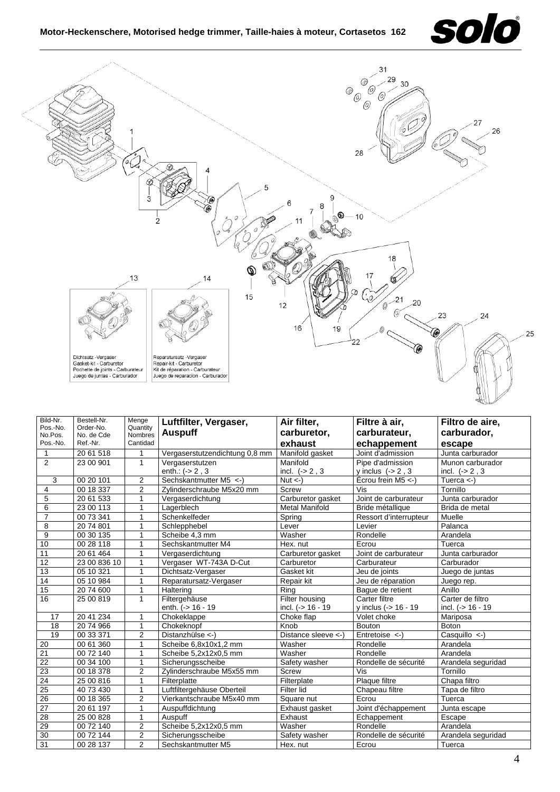



| Bild-Nr.<br>Pos.-No.<br>No.Pos.<br>Pos.-No. | Bestell-Nr.<br>Order-No.<br>No. de Cde<br>Ref.-Nr. | Menge<br>Quantity<br>Nombres<br>Cantidad | Luftfilter, Vergaser,<br><b>Auspuff</b> | Air filter,<br>carburetor,<br>exhaust | Filtre à air,<br>carburateur,<br>echappement | Filtro de aire,<br>carburador,<br>escape |
|---------------------------------------------|----------------------------------------------------|------------------------------------------|-----------------------------------------|---------------------------------------|----------------------------------------------|------------------------------------------|
| 1                                           | 20 61 518                                          |                                          | Vergaserstutzendichtung 0,8 mm          | Manifold gasket                       | Joint d'admission                            | Junta carburador                         |
| 2                                           | 23 00 901                                          | $\mathbf{1}$                             | Vergaserstutzen<br>enth.: $(-2, 3)$     | Manifold<br>incl. $(-2, 3)$           | Pipe d'admission<br>y inclus $(-2, 3)$       | Munon carburador<br>incl. $(-2, 3)$      |
| 3                                           | 00 20 101                                          | $\overline{2}$                           | Sechskantmutter M5 <- )                 | $Nut < -$ )                           | Écrou frein M5 <-                            | Tuerca $\leftarrow$ )                    |
| 4                                           | 00 18 337                                          | $\overline{2}$                           | Zylinderschraube M5x20 mm               | Screw                                 | Vis                                          | Tornillo                                 |
| $\mathbf 5$                                 | 20 61 533                                          | 1                                        | Vergaserdichtung                        | Carburetor gasket                     | Joint de carburateur                         | Junta carburador                         |
| 6                                           | 23 00 113                                          |                                          | Lagerblech                              | <b>Metal Manifold</b>                 | Bride métallique                             | Brida de metal                           |
| $\overline{7}$                              | 00 73 341                                          | 1                                        | Schenkelfeder                           | Spring                                | Ressort d'interrupteur                       | Muelle                                   |
| 8                                           | 20 74 801                                          | 1                                        | Schlepphebel                            | Lever                                 | Levier                                       | Palanca                                  |
| 9                                           | 00 30 135                                          |                                          | Scheibe 4,3 mm                          | Washer                                | Rondelle                                     | Arandela                                 |
| 10                                          | 00 28 118                                          |                                          | Sechskantmutter M4                      | Hex. nut                              | Ecrou                                        | Tuerca                                   |
| 11                                          | 20 61 464                                          |                                          | Vergaserdichtung                        | Carburetor gasket                     | Joint de carburateur                         | Junta carburador                         |
| 12                                          | 23 00 836 10                                       |                                          | Vergaser WT-743A D-Cut                  | Carburetor                            | Carburateur                                  | Carburador                               |
| 13                                          | 05 10 321                                          |                                          | Dichtsatz-Vergaser                      | Gasket kit                            | Jeu de joints                                | Juego de juntas                          |
| 14                                          | 05 10 984                                          |                                          | Reparatursatz-Vergaser                  | Repair kit                            | Jeu de réparation                            | Juego rep.                               |
| 15                                          | 20 74 600                                          | 1                                        | Haltering                               | Ring                                  | Baque de retient                             | Anillo                                   |
| 16                                          | 25 00 819                                          | 1                                        | Filtergehäuse                           | Filter housing                        | Carter filtre                                | Carter de filtro                         |
|                                             |                                                    |                                          | enth. (-> 16 - 19                       | incl. $(-) 16 - 19$                   | y inclus (-> 16 - 19                         | incl. $(-516 - 19)$                      |
| 17                                          | 20 41 234                                          | 1                                        | Chokeklappe                             | Choke flap                            | Volet choke                                  | Mariposa                                 |
| 18                                          | 2074966                                            | 1                                        | Chokeknopf                              | Knob                                  | <b>Bouton</b>                                | <b>Boton</b>                             |
| 19                                          | 00 33 371                                          | $\overline{2}$                           | Distanzhülse $\langle$ -)               | Distance sleeve <-)                   | Entretoise $\left\langle -\right\rangle$     | Casquillo $\leftarrow$ )                 |
| 20                                          | 00 61 360                                          | 1                                        | Scheibe 6,8x10x1,2 mm                   | Washer                                | Rondelle                                     | Arandela                                 |
| $\overline{21}$                             | 00 72 140                                          | 1                                        | Scheibe 5,2x12x0,5 mm                   | Washer                                | Rondelle                                     | Arandela                                 |
| $\overline{22}$                             | 00 34 100                                          | 1                                        | Sicherungsscheibe                       | Safety washer                         | Rondelle de sécurité                         | Arandela seguridad                       |
| 23                                          | 00 18 378                                          | $\overline{2}$                           | Zylinderschraube M5x55 mm               | <b>Screw</b>                          | Vis                                          | Tornillo                                 |
| 24                                          | 25 00 816                                          | 1                                        | Filterplatte                            | Filterplate                           | Plaque filtre                                | Chapa filtro                             |
| $\overline{25}$                             | 40 73 430                                          | 1                                        | Luftfiltergehäuse Oberteil              | Filter lid                            | Chapeau filtre                               | Tapa de filtro                           |
| $\overline{26}$                             | 00 18 365                                          | $\overline{2}$                           | Vierkantschraube M5x40 mm               | Square nut                            | Ecrou                                        | Tuerca                                   |
| $\overline{27}$                             | 20 61 197                                          | 1                                        | Auspuffdichtung                         | Exhaust gasket                        | Joint d'échappement                          | Junta escape                             |
| 28                                          | 25 00 828                                          | 1                                        | Auspuff                                 | Exhaust                               | Echappement                                  | Escape                                   |
| 29                                          | 00 72 140                                          | $\overline{2}$                           | Scheibe 5,2x12x0,5 mm                   | Washer                                | Rondelle                                     | Arandela                                 |
| 30                                          | 00 72 144                                          | $\overline{2}$                           | Sicherungsscheibe                       | Safety washer                         | Rondelle de sécurité                         | Arandela seguridad                       |
| $\overline{31}$                             | 00 28 137                                          | $\overline{2}$                           | Sechskantmutter M5                      | Hex. nut                              | Ecrou                                        | Tuerca                                   |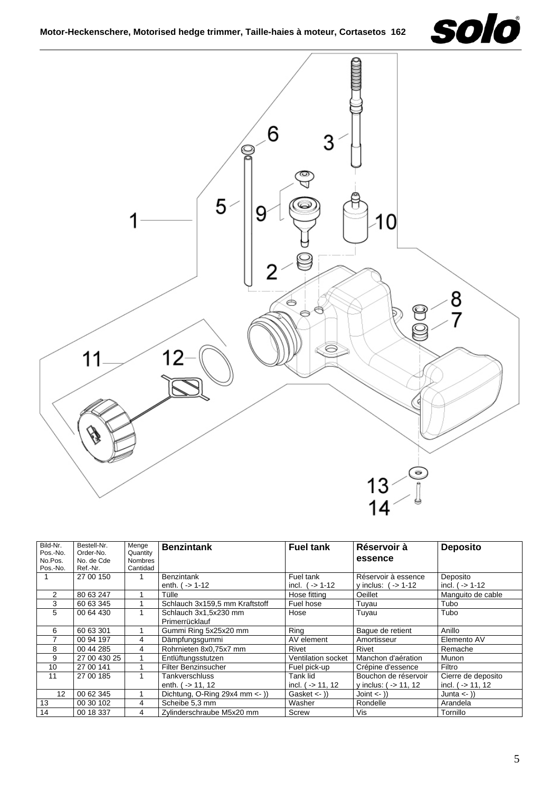



| Bild-Nr.<br>Pos.-No. | Bestell-Nr.<br>Order-No. | Menge<br>Quantity          | <b>Benzintank</b>                         | <b>Fuel tank</b>          | Réservoir à              | <b>Deposito</b>              |
|----------------------|--------------------------|----------------------------|-------------------------------------------|---------------------------|--------------------------|------------------------------|
| No.Pos.<br>Pos.-No.  | No. de Cde<br>Ref.-Nr.   | <b>Nombres</b><br>Cantidad |                                           |                           | essence                  |                              |
|                      | 27 00 150                |                            | <b>Benzintank</b>                         | Fuel tank                 | Réservoir à essence      | Deposito                     |
|                      |                          |                            | enth. $( -> 1-12)$                        | incl. $( -5 1 - 12)$      | y inclus: $($ -> 1-12    | incl. $( -> 1-12)$           |
| 2                    | 80 63 247                |                            | Tülle                                     | Hose fitting              | Oeillet                  | Manguito de cable            |
| 3                    | 60 63 345                |                            | Schlauch 3x159,5 mm Kraftstoff            | Fuel hose                 | Tuyau                    | Tubo                         |
| 5                    | 00 64 430                |                            | Schlauch 3x1,5x230 mm<br>Primerrücklauf   | Hose                      | Tuyau                    | Tubo                         |
| 6                    | 60 63 301                |                            | Gummi Ring 5x25x20 mm                     | Ring                      | Baque de retient         | Anillo                       |
|                      | 00 94 197                | 4                          | Dämpfungsgummi                            | AV element                | Amortisseur              | Elemento AV                  |
| 8                    | 00 44 285                | 4                          | Rohrnieten 8x0,75x7 mm                    | Rivet                     | Rivet                    | Remache                      |
| 9                    | 27 00 430 25             |                            | Entlüftungsstutzen                        | <b>Ventilation socket</b> | Manchon d'aération       | Munon                        |
| 10                   | 27 00 141                |                            | <b>Filter Benzinsucher</b>                | Fuel pick-up              | Crépine d'essence        | Filtro                       |
| 11                   | 27 00 185                |                            | Tankverschluss                            | Tank lid                  | Bouchon de réservoir     | Cierre de deposito           |
|                      |                          |                            | enth. $( -5 11, 12 $                      | incl. $($ -> 11, 12       | y inclus: $( -5 11, 12)$ | incl. ( $\rightarrow$ 11, 12 |
| 12                   | 00 62 345                |                            | Dichtung, O-Ring $29x4$ mm $\leftarrow$ ) | Gasket $\leftarrow$ ))    | Joint $\leftarrow$ ))    | Junta $\leftarrow$ ))        |
| 13                   | 00 30 102                | 4                          | Scheibe 5,3 mm                            | Washer                    | Rondelle                 | Arandela                     |
| 14                   | 00 18 337                | 4                          | Zylinderschraube M5x20 mm                 | Screw                     | Vis                      | Tornillo                     |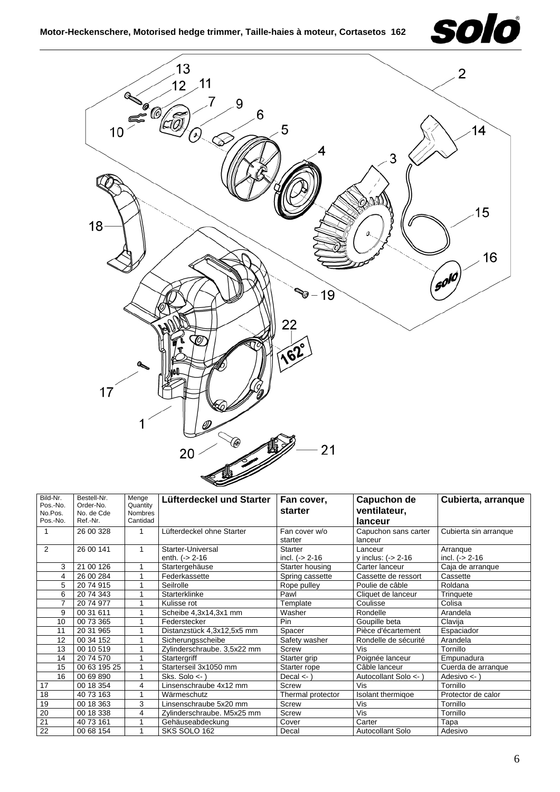



| Bild-Nr.<br>Pos.-No.<br>No.Pos.<br>Pos.-No. | Bestell-Nr.<br>Order-No.<br>No. de Cde<br>Ref.-Nr. | Menge<br>Quantity<br>Nombres<br>Cantidad | Lüfterdeckel und Starter                | Fan cover,<br>starter        | Capuchon de<br>ventilateur,<br>lanceur | Cubierta, arranque             |
|---------------------------------------------|----------------------------------------------------|------------------------------------------|-----------------------------------------|------------------------------|----------------------------------------|--------------------------------|
|                                             | 26 00 328                                          |                                          | Lüfterdeckel ohne Starter               | Fan cover w/o<br>starter     | Capuchon sans carter<br>lanceur        | Cubierta sin arranque          |
| 2                                           | 26 00 141                                          | 1                                        | Starter-Universal<br>enth. $(-) 2 - 16$ | Starter<br>incl. $(-2 - 16)$ | Lanceur<br>y inclus: $($ -> 2-16       | Arrangue<br>incl. $(-) 2 - 16$ |
| 3                                           | 21 00 126                                          |                                          | Startergehäuse                          | Starter housing              | Carter lanceur                         | Caja de arranque               |
| 4                                           | 26 00 284                                          |                                          | Federkassette                           | Spring cassette              | Cassette de ressort                    | Cassette                       |
| 5                                           | 2074915                                            |                                          | Seilrolle                               | Rope pulley                  | Poulie de câble                        | Roldana                        |
| 6                                           | 20 74 343                                          |                                          | Starterklinke                           | Pawl                         | Cliquet de lanceur                     | Trinquete                      |
| 7                                           | 2074977                                            |                                          | Kulisse rot                             | Template                     | Coulisse                               | Colisa                         |
| 9                                           | 00 31 611                                          |                                          | Scheibe 4,3x14,3x1 mm                   | Washer                       | Rondelle                               | Arandela                       |
| 10                                          | 00 73 365                                          |                                          | Federstecker                            | Pin                          | Goupille beta                          | Clavija                        |
| 11                                          | 20 31 965                                          |                                          | Distanzstück 4,3x12,5x5 mm              | Spacer                       | Pièce d'écartement                     | Espaciador                     |
| 12                                          | 00 34 152                                          |                                          | Sicherungsscheibe                       | Safety washer                | Rondelle de sécurité                   | Arandela                       |
| 13                                          | 00 10 519                                          |                                          | Zylinderschraube. 3,5x22 mm             | Screw                        | Vis                                    | Tornillo                       |
| 14                                          | 20 74 570                                          |                                          | Startergriff                            | Starter grip                 | Poignée lanceur                        | Empunadura                     |
| 15                                          | 00 63 195 25                                       |                                          | Starterseil 3x1050 mm                   | Starter rope                 | Câble lanceur                          | Cuerda de arranque             |
| 16                                          | 00 69 890                                          |                                          | Sks. Solo $\lt$ -                       | Decal $\leq$                 | Autocollant Solo <- )                  | Adesivo $\lt$ -)               |
| 17                                          | 00 18 354                                          | 4                                        | Linsenschraube 4x12 mm                  | Screw                        | Vis                                    | Tornillo                       |
| 18                                          | 40 73 163                                          |                                          | Wärmeschutz                             | Thermal protector            | Isolant thermigoe                      | Protector de calor             |
| 19                                          | 00 18 363                                          | 3                                        | Linsenschraube 5x20 mm                  | <b>Screw</b>                 | Vis                                    | Tornillo                       |
| 20                                          | 00 18 338                                          | 4                                        | Zylinderschraube. M5x25 mm              | <b>Screw</b>                 | Vis                                    | Tornillo                       |
| 21                                          | 40 73 161                                          |                                          | Gehäuseabdeckung                        | Cover                        | Carter                                 | Tapa                           |
| 22                                          | 00 68 154                                          |                                          | SKS SOLO 162                            | Decal                        | <b>Autocollant Solo</b>                | Adesivo                        |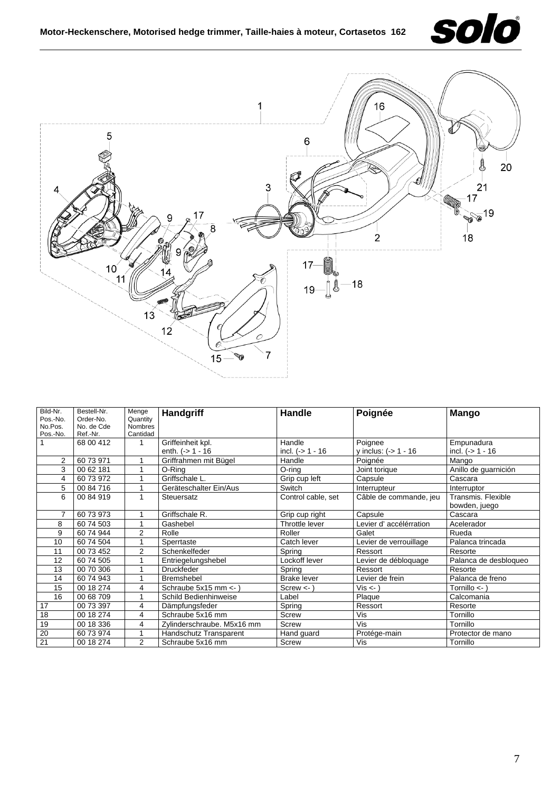



| Bild-Nr.       | Bestell-Nr. | Menge          | Handgriff                  | Handle             | Poignée                   | <b>Mango</b>            |
|----------------|-------------|----------------|----------------------------|--------------------|---------------------------|-------------------------|
| Pos.-No.       | Order-No.   | Quantity       |                            |                    |                           |                         |
| No.Pos.        | No. de Cde  | <b>Nombres</b> |                            |                    |                           |                         |
| Pos.-No.       | Ref.-Nr.    | Cantidad       |                            |                    |                           |                         |
|                | 68 00 412   | 1              | Griffeinheit kpl.          | Handle             | Poignee                   | Empunadura              |
|                |             |                | enth. $(-51 - 16)$         | incl. $(-51 - 16)$ | y inclus: $(-5) - 1 - 16$ | incl. $(-51 - 16)$      |
| $\overline{2}$ | 60 73 971   |                | Griffrahmen mit Bügel      | Handle             | Poianée                   | Mango                   |
| 3              | 00 62 181   | 1              | O-Ring                     | O-ring             | Joint torique             | Anillo de guarnición    |
| 4              | 60 73 972   | 1              | Griffschale L.             | Grip cup left      | Capsule                   | Cascara                 |
| 5              | 00 84 716   |                | Geräteschalter Ein/Aus     | Switch             | Interrupteur              | Interruptor             |
| 6              | 00 84 919   | 1              | Steuersatz                 | Control cable, set | Câble de commande, jeu    | Transmis, Flexible      |
|                |             |                |                            |                    |                           | bowden, juego           |
| $\overline{7}$ | 60 73 973   | 1              | Griffschale R.             | Grip cup right     | Capsule                   | Cascara                 |
| 8              | 60 74 503   |                | Gashebel                   | Throttle lever     | Levier d' accélérration   | Acelerador              |
| 9              | 60 74 944   | $\overline{2}$ | Rolle                      | Roller             | Galet                     | Rueda                   |
| 10             | 60 74 504   |                | Sperrtaste                 | Catch lever        | Levier de verrouillage    | Palanca trincada        |
| 11             | 00 73 452   | $\overline{2}$ | Schenkelfeder              | Spring             | Ressort                   | Resorte                 |
| 12             | 60 74 505   |                | Entriegelungshebel         | Lockoff lever      | Levier de débloquage      | Palanca de desbloqueo   |
| 13             | 00 70 306   |                | <b>Druckfeder</b>          | Spring             | Ressort                   | Resorte                 |
| 14             | 60 74 943   |                | Bremshebel                 | <b>Brake lever</b> | Levier de frein           | Palanca de freno        |
| 15             | 00 18 274   | 4              | Schraube 5x15 mm <-        | $Screw < -$        | Vis < 1                   | Tornillo $\leftarrow$ ) |
| 16             | 00 68 709   |                | Schild Bedienhinweise      | Label              | Plaque                    | Calcomania              |
| 17             | 00 73 397   | 4              | Dämpfungsfeder             | Spring             | Ressort                   | Resorte                 |
| 18             | 00 18 274   | 4              | Schraube 5x16 mm           | <b>Screw</b>       | Vis                       | Tornillo                |
| 19             | 00 18 336   | 4              | Zylinderschraube. M5x16 mm | <b>Screw</b>       | Vis                       | Tornillo                |
| 20             | 60 73 974   |                | Handschutz Transparent     | Hand guard         | Protége-main              | Protector de mano       |
| 21             | 00 18 274   | 2              | Schraube 5x16 mm           | Screw              | Vis                       | Tornillo                |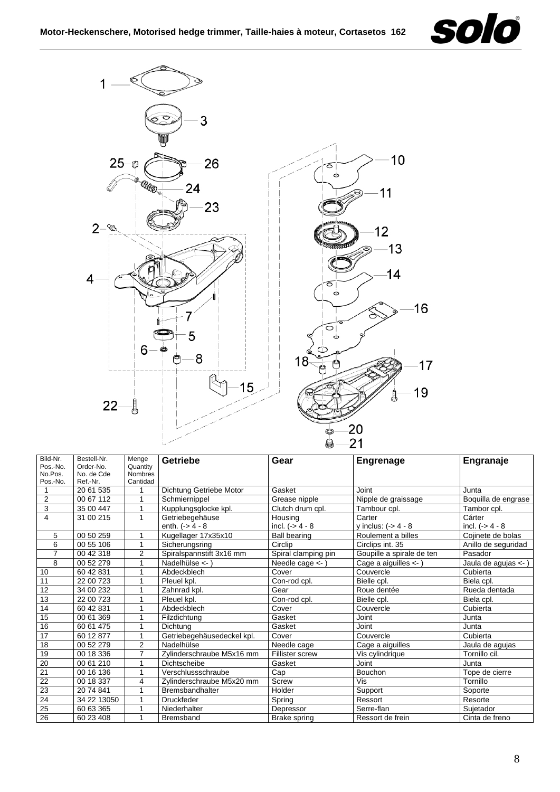



| Bild-Nr.        | Bestell-Nr. | Menge          | Getriebe                   | Gear                       | <b>Engrenage</b>          | Engranaje            |
|-----------------|-------------|----------------|----------------------------|----------------------------|---------------------------|----------------------|
| Pos.-No.        | Order-No.   | Quantity       |                            |                            |                           |                      |
| No.Pos.         | No. de Cde  | <b>Nombres</b> |                            |                            |                           |                      |
| Pos.-No.        | Ref.-Nr.    | Cantidad       |                            |                            |                           |                      |
|                 | 20 61 535   |                | Dichtung Getriebe Motor    | Gasket                     | Joint                     | Junta                |
| $\overline{2}$  | 00 67 112   | 1              | Schmiernippel              | Grease nipple              | Nipple de graissage       | Boquilla de engrase  |
| 3               | 35 00 447   | 1              | Kupplungsglocke kpl.       | Clutch drum cpl.           | Tambour cpl.              | Tambor cpl.          |
| $\overline{4}$  | 31 00 215   | 1              | Getriebegehäuse            | Housing                    | Carter                    | Cárter               |
|                 |             |                | enth. $(-) 4 - 8$          | incl. $(-> 4 - 8$          | y inclus: $(-) 4 - 8$     | incl. $(-) 4 - 8$    |
| 5               | 00 50 259   | 1              | Kugellager 17x35x10        | <b>Ball bearing</b>        | Roulement a billes        | Cojinete de bolas    |
| 6               | 00 55 106   |                | Sicherungsring             | Circlip                    | Circlips int. 35          | Anillo de seguridad  |
| 7               | 00 42 318   | 2              | Spiralspannstift 3x16 mm   | Spiral clamping pin        | Goupille a spirale de ten | Pasador              |
| 8               | 00 52 279   |                | Nadelhülse <- )            | Needle cage $\leftarrow$ ) | Cage a aiguilles <- )     | Jaula de agujas <- ) |
| 10              | 60 42 831   | 1              | Abdeckblech                | Cover                      | Couvercle                 | Cubierta             |
| 11              | 22 00 723   |                | Pleuel kpl.                | Con-rod cpl.               | Bielle cpl.               | Biela cpl.           |
| $\overline{12}$ | 34 00 232   |                | Zahnrad kpl.               | Gear                       | Roue dentée               | Rueda dentada        |
| 13              | 22 00 723   |                | Pleuel kpl.                | Con-rod cpl.               | Bielle cpl.               | Biela cpl.           |
| 14              | 60 42 831   |                | Abdeckblech                | Cover                      | Couvercle                 | Cubierta             |
| 15              | 00 61 369   | 1              | Filzdichtung               | Gasket                     | Joint                     | Junta                |
| 16              | 60 61 475   |                | Dichtung                   | Gasket                     | Joint                     | Junta                |
| 17              | 60 12 877   | 1              | Getriebegehäusedeckel kpl. | Cover                      | Couvercle                 | Cubierta             |
| 18              | 00 52 279   | 2              | Nadelhülse                 | Needle cage                | Cage a aiguilles          | Jaula de aquias      |
| 19              | 00 18 336   | $\overline{7}$ | Zylinderschraube M5x16 mm  | Fillister screw            | Vis cylindrique           | Tornillo cil.        |
| 20              | 00 61 210   |                | Dichtscheibe               | Gasket                     | Joint                     | Junta                |
| $\overline{21}$ | 00 16 136   | 1              | Verschlussschraube         | Cap                        | Bouchon                   | Tope de cierre       |
| $\overline{22}$ | 00 18 337   | 4              | Zylinderschraube M5x20 mm  | Screw                      | Vis                       | Tornillo             |
| 23              | 20 74 841   |                | Bremsbandhalter            | Holder                     | Support                   | Soporte              |
| 24              | 34 22 13050 |                | <b>Druckfeder</b>          | Spring                     | Ressort                   | Resorte              |
| $\overline{25}$ | 60 63 365   |                | Niederhalter               | Depressor                  | Serre-flan                | Sujetador            |
| 26              | 60 23 408   |                | <b>Bremsband</b>           | Brake spring               | Ressort de frein          | Cinta de freno       |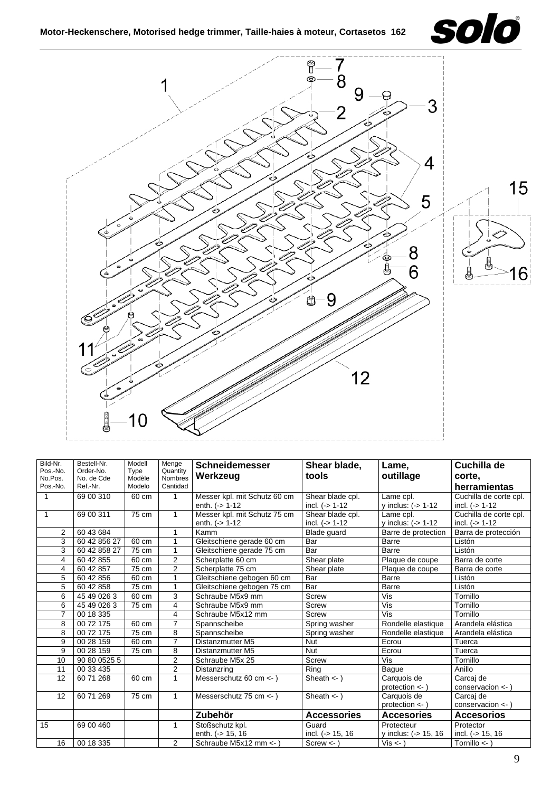



| Bild-Nr.<br>Pos.-No.<br>No.Pos. | Bestell-Nr.<br>Order-No.<br>No. de Cde | Modell<br>Type<br>Modèle | Menge<br>Quantity<br>Nombres | <b>Schneidemesser</b><br>Werkzeug | Shear blade,<br>tools | Lame,<br>outillage      | Cuchilla de<br>corte.  |
|---------------------------------|----------------------------------------|--------------------------|------------------------------|-----------------------------------|-----------------------|-------------------------|------------------------|
| Pos.-No.                        | Ref.-Nr.                               | Modelo                   | Cantidad                     |                                   |                       |                         | herramientas           |
| 1                               | 69 00 310                              | 60 cm                    | 1                            | Messer kpl. mit Schutz 60 cm      | Shear blade cpl.      | Lame cpl.               | Cuchilla de corte cpl. |
|                                 |                                        |                          |                              | enth. $(-) 1 - 12$                | incl. $(-51-12)$      | y inclus: $(-5)$ 1-12   | incl. $($ > 1-12       |
| $\mathbf{1}$                    | 69 00 311                              | 75 cm                    | 1                            | Messer kpl. mit Schutz 75 cm      | Shear blade cpl.      | Lame cpl.               | Cuchilla de corte cpl. |
|                                 |                                        |                          |                              | enth. $(-51-12)$                  | incl. $(-51-12)$      | y inclus: $(-5 1 - 12)$ | incl. $(-) 1 - 12$     |
| 2                               | 60 43 684                              |                          |                              | Kamm                              | Blade guard           | Barre de protection     | Barra de protección    |
| $\overline{3}$                  | 60 42 856 27                           | 60 cm                    |                              | Gleitschiene gerade 60 cm         | Bar                   | Barre                   | Listón                 |
| 3                               | 60 42 858 27                           | 75 cm                    |                              | Gleitschiene gerade 75 cm         | Bar                   | Barre                   | Listón                 |
| 4                               | 60 42 855                              | 60 cm                    | 2                            | Scherplatte 60 cm                 | Shear plate           | Plaque de coupe         | Barra de corte         |
| 4                               | 60 42 857                              | 75 cm                    | $\overline{2}$               | Scherplatte 75 cm                 | Shear plate           | Plaque de coupe         | Barra de corte         |
| 5                               | 60 42 856                              | 60 cm                    |                              | Gleitschiene gebogen 60 cm        | Bar                   | Barre                   | Listón                 |
| 5                               | 60 42 858                              | 75 cm                    | 1                            | Gleitschiene gebogen 75 cm        | Bar                   | <b>Barre</b>            | Listón                 |
| 6                               | 45 49 0 26 3                           | 60 cm                    | 3                            | Schraube M5x9 mm                  | Screw                 | Vis                     | Tornillo               |
| 6                               | 45 49 026 3                            | 75 cm                    | 4                            | Schraube M5x9 mm                  | Screw                 | Vis                     | Tornillo               |
| $\overline{7}$                  | 00 18 335                              |                          | 4                            | Schraube M5x12 mm                 | <b>Screw</b>          | Vis                     | Tornillo               |
| 8                               | 00 72 175                              | 60 cm                    | $\overline{7}$               | Spannscheibe                      | Spring washer         | Rondelle elastique      | Arandela elástica      |
| 8                               | 00 72 175                              | 75 cm                    | 8                            | Spannscheibe                      | Spring washer         | Rondelle elastique      | Arandela elástica      |
| 9                               | 00 28 159                              | 60 cm                    | $\overline{7}$               | Distanzmutter M5                  | <b>Nut</b>            | Ecrou                   | Tuerca                 |
| 9                               | 00 28 159                              | 75 cm                    | 8                            | Distanzmutter M5                  | <b>Nut</b>            | Ecrou                   | Tuerca                 |
| 10                              | 90 80 0525 5                           |                          | $\overline{2}$               | Schraube M5x 25                   | Screw                 | Vis                     | Tornillo               |
| 11                              | 00 33 435                              |                          | $\overline{2}$               | Distanzring                       | Ring                  | Baque                   | Anillo                 |
| 12                              | 60 71 268                              | 60 cm                    | 1                            | Messerschutz 60 cm <- )           | Sheath $\lt$ - $\gt$  | Carquois de             | Carcaj de              |
|                                 |                                        |                          |                              |                                   |                       | $protection <$ )        | conservacion $\lt$ -   |
| 12                              | 60 71 269                              | 75 cm                    | $\mathbf{1}$                 | Messerschutz 75 cm <- )           | Sheath $\lt$ - $)$    | Carquois de             | Carcai de              |
|                                 |                                        |                          |                              |                                   |                       | protection $\lt$ -)     | conservacion $\lt$ -   |
|                                 |                                        |                          |                              | Zubehör                           | <b>Accessories</b>    | <b>Accesories</b>       | <b>Accesorios</b>      |
| 15                              | 69 00 460                              |                          |                              | Stoßschutz kpl.                   | Guard                 | Protecteur              | Protector              |
|                                 |                                        |                          |                              | enth. (-> 15, 16                  | incl. $(-5.15, 16)$   | y inclus: (-> 15, 16    | incl. $(-5.15, 16)$    |
| 16                              | 00 18 335                              |                          | 2                            | Schraube M5x12 mm <-              | $Screw < -$           | Vis < )                 | Tornillo $\lt$ -       |